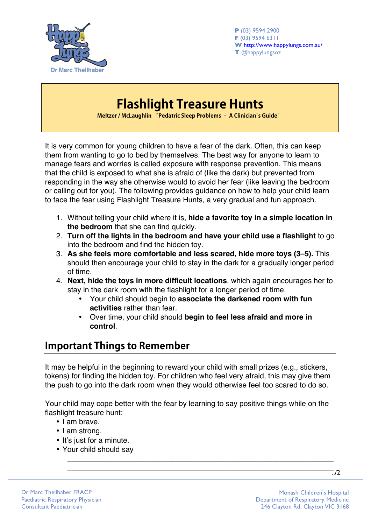

**P** (03) 9594 2900 **F** (03) 9594 6311 **W** http://www.happylungs.com.au/ **T** @happylungsoz

## **Flashlight Treasure Hunts**

**Meltzer / McLaughlin "Pedatric Sleep Problems – A Clinician`s Guide"**

It is very common for young children to have a fear of the dark. Often, this can keep them from wanting to go to bed by themselves. The best way for anyone to learn to manage fears and worries is called exposure with response prevention. This means that the child is exposed to what she is afraid of (like the dark) but prevented from responding in the way she otherwise would to avoid her fear (like leaving the bedroom or calling out for you). The following provides guidance on how to help your child learn to face the fear using Flashlight Treasure Hunts, a very gradual and fun approach.

- 1. Without telling your child where it is, **hide a favorite toy in a simple location in the bedroom** that she can find quickly.
- 2. **Turn off the lights in the bedroom and have your child use a flashlight** to go into the bedroom and find the hidden toy.
- 3. **As she feels more comfortable and less scared, hide more toys (3–5).** This should then encourage your child to stay in the dark for a gradually longer period of time.
- 4. **Next, hide the toys in more difficult locations**, which again encourages her to stay in the dark room with the flashlight for a longer period of time.
	- Your child should begin to **associate the darkened room with fun activities** rather than fear.
	- Over time, your child should **begin to feel less afraid and more in control**.

## **Important Things to Remember**

It may be helpful in the beginning to reward your child with small prizes (e.g., stickers, tokens) for finding the hidden toy. For children who feel very afraid, this may give them the push to go into the dark room when they would otherwise feel too scared to do so.

Your child may cope better with the fear by learning to say positive things while on the flashlight treasure hunt:

\_\_\_\_\_\_\_\_\_\_\_\_\_\_\_\_\_\_\_\_\_\_\_\_\_\_\_\_\_\_\_\_\_\_\_\_\_\_\_\_\_\_\_\_\_\_\_\_\_\_\_\_\_\_\_\_\_\_\_\_\_\_\_\_

- I am brave.
- I am strong.
- It's just for a minute.
- Your child should say